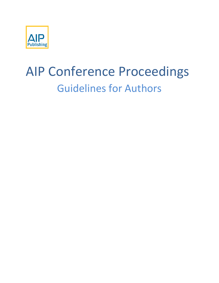

# AIP Conference Proceedings Guidelines for Authors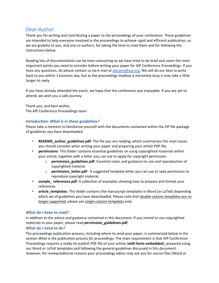# <span id="page-2-0"></span>*Dear Author*

Thank you for writing and contributing a paper to the proceedings of your conference. These guidelines are intended to help everyone involved in the proceedings to achieve rapid and efficient publication, so we are grateful to you, and any co-authors, for taking the time to read them and for following the instructions below.

Reading lots of documentation can be time-consuming so we have tried to be brief and cover the most important points you need to consider before writing your paper for AIP Conference Proceedings. If you have any questions, do please contact us via e-mail a[t aipcpeo@aip.org.](mailto:aipcpeo@aip.org) We will do our best to write back to you within 1 business day, but as the proceedings mailbox is extremely busy it may take a little longer to reply.

If you have already attended the event, we hope that the conference was enjoyable. If you are yet to attend, we wish you a safe journey.

Thank you, and best wishes The AIP Conference Proceedings team

# <span id="page-2-1"></span>*Introduction: What is in these guidelines?*

Please take a moment to familiarize yourself with the documents contained within the ZIP file package of guidelines you have downloaded.

- **README\_author\_guidelines.pdf**: The file you are reading, which summarizes the main issues you should consider when writing your paper and preparing your article PDF file.
- **permissions**: This folder contains essential guidelines on using copyrighted materials within your article, together with a letter you can use to apply for copyright permission.
	- o **permission\_guidelines**.**pdf**: Essential notes and guidance on use and reproduction of copyrighted material.
	- o **permission\_letter.pdf**:A suggested template letter you can use to seek permission to reproduce copyright material.
- **sample** references.pdf: A collection of examples showing how to prepare and format your references.
- **article\_templates**: This folder contains the manuscript templates in Word (or LaTeX) depending which set of guidelines you have downloaded. Please note that *double-column templates are no longer supported*; *please use single-column templates only*.

## <span id="page-2-2"></span>*What do I have to read?*

In addition to the advice and guidance contained in this document. If you intend to use copyrighted materials in your paper, please read **permission\_guidelines.pdf**.

# <span id="page-2-3"></span>*What do I need to do?*

The proceedings publication process, including where to send your paper, is summarized below in the section *What is the publication process for proceedings*. The main requirement is that AIP Conference Proceedings requires a ready-to-publish PDF file of your article (**with fonts embedded**), prepared using our Word or LaTeX templates and following the general guidelines discussed in this document. However, for review/editorial reasons your proceedings editor may ask you for source files (Word or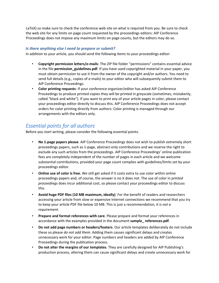LaTeX) so make sure to check the conference web site on what is required from you. Be sure to check the web site for any limits on page count requested by the proceedings editors: AIP Conference Proceedings does not impose any maximum limits on page counts, but the editors may do so.

### <span id="page-3-0"></span>*Is there anything else I need to prepare or submit?*

In addition to your article, you should send the following items to your proceedings editor:

- **Copyright permission letters/e-mails**: The ZIP file folder "permissions" contains essential advice in the file **permission\_guidelines.pdf**. If you have used copyrighted material in your paper, you must obtain permission to use it from the owner of the copyright and/or authors. You need to send full details (e.g., copies of e-mails) to your editor who will subsequently submit them to AIP Conference Proceedings.
- **Color printing requests**: If your conference organizer/editor has asked AIP Conference Proceedings to produce printed copies they will be printed in greyscale (sometimes, mistakenly, called "black and white"). If you want to print any of your article pages in color, please contact your proceedings editor directly to discuss this. AIP Conference Proceedings does not accept orders for color printing directly from authors: Color printing is managed through our arrangements with the editors only.

# <span id="page-3-1"></span>*Essential points for all authors*

Before you start writing, please consider the following essential points.

- **No 1-page papers please**. AIP Conference Proceedings does not wish to publish extremely short proceedings papers, such as 1-page, abstract-only contributions and we reserve the right to exclude any such articles from the proceedings. AIP Conference Proceedings' online publication fees are completely independent of the number of pages in each article and we welcome substantial contributions, provided your page count complies with guidelines/limits set by your proceedings editor.
- **Online use of color is free.** We still get asked if it costs extra to use color within online proceedings papers and, of course, the answer is no it does not. The use of color in *printed proceedings* does incur additional cost, so please contact your proceedings editor to discuss this.
- **Avoid huge PDF files (10 MB maximum, ideally)**. For the benefit of readers and researchers accessing your article from slow or expensive internet connections we recommend that you try to keep your article PDF file below 10 MB. This is just a recommendation; *it is not a requirement*.
- **Prepare and format references with care**. Please prepare and format your references in accordance with the examples provided in the document **sample\_ references.pdf**.
- **Do not add page numbers or headers/footers**. Our article templates deliberately do not include these so please *do not add them*. Adding them causes significant delays and creates unnecessary work for your editor. Page numbers and headers are added by AIP Conference Proceedings during the publication process.
- **Do not alter the margins of our templates**. They are carefully designed for AIP Publishing's production process, altering them can cause significant delays and create unnecessary work for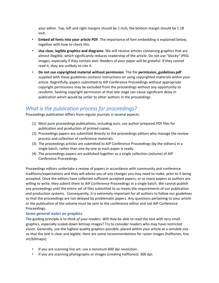your editor. Top, left and right margins should be 1 inch, the bottom margin should be 1.18 inch.

- **Embed all fonts into your article PDF**. The importance of font embedding is explained below, together with how to check this.
- **Use clear, legible graphics and diagrams**. We still receive articles containing graphics that are almost illegible, which significantly reduces readership of the article. Do not use "blocky" JPEG images, especially if they contain text: Readers of your paper will be grateful. If they cannot read it, they are unlikely to cite it.
- **Do not use copyrighted material without permission**. The file **permission\_guidelines.pdf** supplied with these guidelines contains instructions on using copyrighted materials within your article. Regretfully, papers submitted to AIP Conference Proceedings without appropriate copyright permissions may be excluded from the proceedings without any opportunity to resubmit. Seeking copyright permission at that late stage can cause significant delay in publication which would be unfair to other authors in the proceedings.

# <span id="page-4-0"></span>*What is the publication process for proceedings?*

Proceedings publication differs from regular journals in several aspects:

- (1) Most pure proceedings publications, including ours, use author-prepared PDF files for publication and production of printed copies.
- (2) Proceedings papers are submitted directly to the proceedings editors who manage the review process and collection of conference materials.
- (3) The proceedings articles are submitted to AIP Conference Proceedings (by the editors) in a single batch, rather than one-by-one as each paper is ready.
- (4) The proceedings papers are published together as a single collection (volume) of AIP Conference Proceedings.

Proceedings editors undertake a review of papers in accordance with community and conference traditions/expectations and they will advise you of any changes you may need to make, prior to it being accepted. Once the editors have collected sufficient accepted papers, or as many papers as authors are willing to write, they submit them to AIP Conference Proceedings in a single batch. We cannot publish any proceedings until the entire set of files submitted to us meets the requirements of our publication and production systems. Consequently, it is extremely important for all authors to follow our guidelines so that the proceedings are not delayed by problematic papers. Any questions pertaining to your article or the publication of the volume must be sent to the conference editor and not AIP Conference Proceedings.

# <span id="page-4-1"></span>*Some general notes on graphics*

The guiding principle is to *think of your readers*. Will they be able to read the text with very small graphics, especially scaled-down bitmap images? Try to consider readers who may have restricted vision. Generally, use the highest quality graphics possible, placed within your article at a sensible size so that the text is clear and legible. Here are some recommendations for raster images (halftones, line art/bitmaps):

- If you are scanning line art: use a minimum 600 dpi resolution.
- If you are scanning photographs or images (creating halftones): 300 dpi.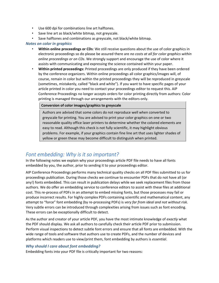- Use 600 dpi for combinations line art halftones.
- Save line art as black/white bitmap, not greyscale.
- Save halftones and combinations as greyscale, not black/white bitmap.

#### <span id="page-5-0"></span>*Notes on color in graphics*

- **Within online proceedings or CDs**: We still receive questions about the use of color graphics in electronic proceedings so do please be assured there are *no costs at all for color graphics within online proceedings or on CDs*. We strongly support and encourage the use of color where it assists with communicating and expressing the science contained within your paper.
- **Within printed proceedings:** Printed proceedings are only produced if they have been ordered by the conference organizers. Within online proceedings all color graphics/images will, of course, remain in color but within the printed proceedings they will be reproduced in greyscale (sometimes, mistakenly, called "black and white"). If you want to have specific pages of your article printed in color you need to contact your proceedings editor to request this. AIP Conference Proceedings no longer accepts orders for color printing directly from authors: Color printing is managed through our arrangements with the editors only.

#### **Conversion of color images/graphics to greyscale**

Authors are advised that some colors do not reproduce well when converted to greyscale for printing. You are advised to print your color graphics on one or two reasonable quality office laser printers to determine whether the colored elements are easy to read. Although this check is not fully scientific, it may highlight obvious problems. For example, if your graphics contain fine line art that uses lighter shades of yellow or green these may become difficult to distinguish when printed.

# <span id="page-5-1"></span>*Font embedding: Why is it so important?*

In the following notes we explain why your proceedings article PDF file needs to have all fonts embedded by you, the author, prior to sending it to your proceedings editor.

AIP Conference Proceedings performs many technical quality checks on all PDF files submitted to us for proceedings publication. During those checks we continue to encounter PDFs that do not have all (or any!) fonts embedded. This can result in publication delays while we seek replacement files from those authors. We do offer an embedding service to conference editors to assist with these files at additional cost. This re-process of PDFs in an attempt to embed missing fonts, but those processes may fail or produce incorrect results. For highly complex PDFs containing scientific and mathematical content, any attempt to "force" font embedding (by re-processing PDFs) is *very far from ideal and not without risk.*  Very subtle errors can be introduced through complexities arising from issues such as font encoding. These errors can be exceptionally difficult to detect.

As the author and creator of your article PDF, you have the most intimate knowledge of *exactly* what the PDF should display. We ask all authors to carefully check their article PDF prior to submission. Perform visual inspections to detect subtle font errors and ensure that all fonts are embedded. With the wide range of tools and software that authors use to create PDFs, and the number of devices and platforms which readers use to view/print them, font embedding by authors is *essential*.

## <span id="page-5-2"></span>*Why should I care about font embedding?*

Embedding fonts into your PDF file is critically important for two reasons: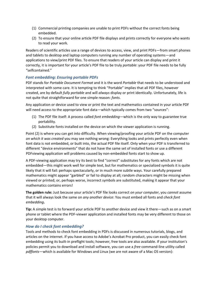- (1) Commercial printing companies are unable to print PDFs without the correct fonts being embedded.
- (2) To ensure that your online article PDF file displays and prints correctly for everyone who wants to read your work.

Readers of scientific articles use a range of devices to access, view, and print PDFs—from smart phones and tablets to desktop and laptop computers running any number of operating systems—and applications to view/print PDF files. To ensure that readers of your article can display and print it correctly, it is important for your article's PDF file to be truly *portable*: your PDF file needs to be fully "selfcontained."

## <span id="page-6-0"></span>*Font embedding: Ensuring portable PDFs*

PDF stands for *Portable Document Format* and it is the word *Portable* that needs to be understood and interpreted with some care. It is tempting to think "Portable" implies that all PDF files, however created, are by default *fully portable* and will *always* display or print identically. Unfortunately, life is not quite that straightforward for one simple reason: *fonts*.

Any application or device used to view or print the text and mathematics contained in your article PDF will need access to the appropriate font data—which typically comes from two "sources":

- (1) The PDF file itself: A process called *font embedding*—which is the only way to guarantee true portability.
- (2) Substitute fonts installed on the device on which the viewer application is running.

Point (2) is where you can get into difficulty. When viewing/proofing your article PDF on the computer *on which it was created* you may see nothing wrong: Everything looks and prints perfectly even when font data is not embedded, or built into, the actual PDF file itself. Only when your PDF is transferred to different "device environments" that do not have the same set of installed fonts or use a different PDFviewing application will problems caused by non-embedded fonts start to show up.

A PDF-viewing application may try its best to find "correct" substitutes for any fonts which are not embedded—this might work well for simple text, but for mathematics or specialized symbols it is quite likely that it will fail: perhaps spectacularly, or in much more subtle ways. Your carefully prepared mathematics might appear "garbled" or fail to display at all; random characters might be missing when viewed or printed; or, perhaps worse, incorrect symbols are substituted, making it appear that your mathematics contains errors!

**The golden rule:** Just because your article's PDF file looks correct *on your computer*, you *cannot* assume that it will always look the same on *any another device*: You must embed all fonts and *check font embedding***.** 

**Tip:** A simple test is to forward your article PDF to another device and view it there—such as on a smart phone or tablet where the PDF-viewer application and installed fonts may be very different to those on your desktop computer.

## <span id="page-6-1"></span>*How do I check font embedding?*

Tools and methods to check font embedding in PDFs is discussed in numerous tutorials, blogs, and articles on the internet. If you have access to Adobe's Acrobat Pro product, you can easily check font embedding using its built-in preflight tools; however, free tools are also available. If your institution's policies permit you to download and install software, you can use a *free* command-line utility called *pdffonts*—which is available for Windows and Linux (we are not aware of a Mac OS version):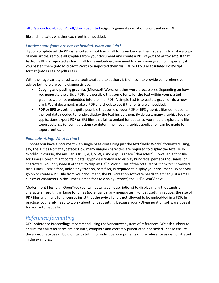http://www.foolabs.com/xpdf/download.html *pdffonts* generates a list of fonts used in a PDF

file and indicates whether each font is embedded.

# <span id="page-7-0"></span>*I notice some fonts are not embedded, what can I do?*

If your complete article PDF is reported as not having all fonts embedded the first step is to make a copy of your article, remove all graphics from your document and create a PDF of *just the article text*. If that text-only PDF is reported as having all fonts embedded, you need to check your graphics: Especially if you pasted them (into Microsoft Word) or imported them via PDF or EPS (Encapsulated PostScript) format (into LaTeX or pdfLaTeX).

With the huge variety of software tools available to authors it is difficult to provide comprehensive advice but here are some diagnostic tips.

- **Copying and pasting graphics** (Microsoft Word, or other word processors). Depending on how you generate the article PDF, it is possible that some fonts for the text within your pasted graphics were not embedded into the final PDF. A simple test is to paste a graphic into a new blank Word document, make a PDF and check to see if the fonts are embedded.
- **PDF or EPS export**: It is quite possible that some of your PDF or EPS graphics files do not contain the font data needed to render/display the text inside them. By default, many graphics tools or applications export PDF or EPS files that fail to embed font data, so you should explore any file export settings (or configurations) to determine if your graphics application can be made to export font data.

## <span id="page-7-1"></span>*Font subsetting: What is that?*

Suppose you have a document with single page containing just the text "Hello World" formatted using, say, the Times Roman typeface: How many unique characters are required to display the text Hello World? Of course, the answer is 8: H, e, I, o, W, r and d (plus space "character"). However, a font file for Times Roman might contain data (glyph descriptions) to display hundreds, perhaps thousands, of characters: You only need 8 of them to display Hello World. Out of the total *set of characters* provided by a Times Roman font, only a tiny fraction, or *subset,* is required to display your document. When you go on to create a PDF file from your document, the PDF-creation software needs to *embed* just a small *subset* of characters in the Times Roman font to display (render) the Hello World text.

Modern font files (e.g., OpenType) contain data (glyph descriptions) to display many thousands of characters, resulting in large font files (potentially many megabytes). Font subsetting reduces the size of PDF files and many font licenses insist that the *entire* font is not allowed to be embedded in a PDF. In practice, you rarely need to worry about font subsetting because your PDF-generation software does it for you automatically.

# <span id="page-7-2"></span>*Reference formatting*

AIP Conference Proceedings recommend using the Vancouver system of references. We ask authors to ensure that all references are accurate, complete and correctly punctuated and styled. Please ensure the appropriate use of bold or italic styling for individual components of the reference as demonstrated in the examples.